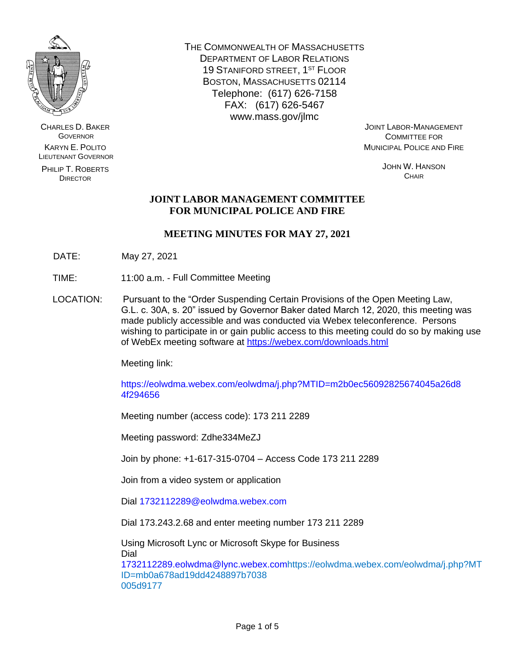

CHARLES D. BAKER **GOVERNOR** KARYN E. POLITO LIEUTENANT GOVERNOR

PHILIP T. ROBERTS DIRECTOR

THE COMMONWEALTH OF MASSACHUSETTS DEPARTMENT OF LABOR RELATIONS 19 STANIFORD STREET, 1ST FLOOR BOSTON, MASSACHUSETTS 02114 Telephone: (617) 626-7158 FAX: (617) 626-5467 www.mass.gov/jlmc

JOINT LABOR-MANAGEMENT COMMITTEE FOR MUNICIPAL POLICE AND FIRE

> JOHN W. HANSON **CHAIR**

# **JOINT LABOR MANAGEMENT COMMITTEE FOR MUNICIPAL POLICE AND FIRE**

# **MEETING MINUTES FOR MAY 27, 2021**

- DATE: May 27, 2021
- TIME: 11:00 a.m. Full Committee Meeting
- LOCATION: Pursuant to the "Order Suspending Certain Provisions of the Open Meeting Law, G.L. c. 30A, s. 20" issued by Governor Baker dated March 12, 2020, this meeting was made publicly accessible and was conducted via Webex teleconference. Persons wishing to participate in or gain public access to this meeting could do so by making use of WebEx meeting software at<https://webex.com/downloads.html>

Meeting link:

https://eolwdma.webex.com/eolwdma/j.php?MTID=m2b0ec56092825674045a26d8 4f294656

Meeting number (access code): 173 211 2289

Meeting password: Zdhe334MeZJ

Join by phone: +1-617-315-0704 – Access Code 173 211 2289

Join from a video system or application

Dial 1732112289@eolwdma.webex.com

Dial 173.243.2.68 and enter meeting number 173 211 2289

Using Microsoft Lync or Microsoft Skype for Business Dial 1732112289.eolwdma@lync.webex.comhttps://eolwdma.webex.com/eolwdma/j.php?MT ID=mb0a678ad19dd4248897b7038 005d9177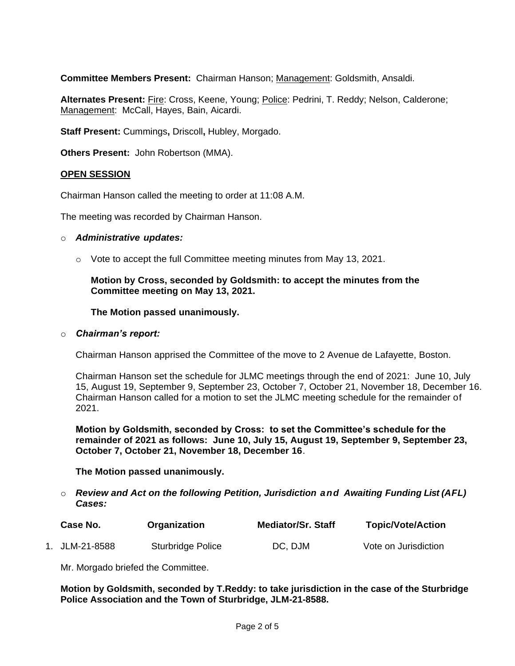**Committee Members Present:** Chairman Hanson; Management: Goldsmith, Ansaldi.

**Alternates Present:** Fire: Cross, Keene, Young; Police: Pedrini, T. Reddy; Nelson, Calderone; Management: McCall, Hayes, Bain, Aicardi.

**Staff Present:** Cummings**,** Driscoll**,** Hubley, Morgado.

**Others Present:** John Robertson (MMA).

### **OPEN SESSION**

Chairman Hanson called the meeting to order at 11:08 A.M.

The meeting was recorded by Chairman Hanson.

#### o *Administrative updates:*

o Vote to accept the full Committee meeting minutes from May 13, 2021.

**Motion by Cross, seconded by Goldsmith: to accept the minutes from the Committee meeting on May 13, 2021.**

**The Motion passed unanimously.**

#### o *Chairman's report:*

Chairman Hanson apprised the Committee of the move to 2 Avenue de Lafayette, Boston.

Chairman Hanson set the schedule for JLMC meetings through the end of 2021: June 10, July 15, August 19, September 9, September 23, October 7, October 21, November 18, December 16. Chairman Hanson called for a motion to set the JLMC meeting schedule for the remainder of 2021.

**Motion by Goldsmith, seconded by Cross: to set the Committee's schedule for the remainder of 2021 as follows: June 10, July 15, August 19, September 9, September 23, October 7, October 21, November 18, December 16**.

### **The Motion passed unanimously.**

o *Review and Act on the following Petition, Jurisdiction and Awaiting Funding List (AFL) Cases:*

| Case No.       | Organization      | <b>Mediator/Sr. Staff</b> | <b>Topic/Vote/Action</b> |
|----------------|-------------------|---------------------------|--------------------------|
| 1. JLM-21-8588 | Sturbridge Police | DC, DJM                   | Vote on Jurisdiction     |

Mr. Morgado briefed the Committee.

**Motion by Goldsmith, seconded by T.Reddy: to take jurisdiction in the case of the Sturbridge Police Association and the Town of Sturbridge, JLM-21-8588.**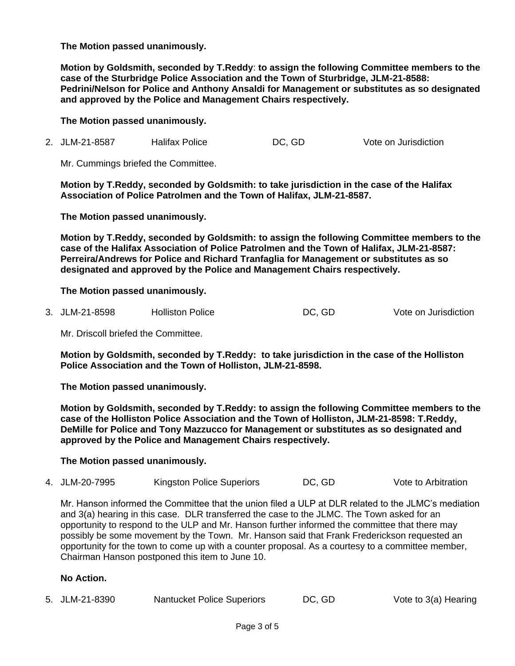**The Motion passed unanimously.**

**Motion by Goldsmith, seconded by T.Reddy**: **to assign the following Committee members to the case of the Sturbridge Police Association and the Town of Sturbridge, JLM-21-8588: Pedrini/Nelson for Police and Anthony Ansaldi for Management or substitutes as so designated and approved by the Police and Management Chairs respectively.**

**The Motion passed unanimously.**

2. JLM-21-8587 Halifax Police DC, GD Vote on Jurisdiction

Mr. Cummings briefed the Committee.

**Motion by T.Reddy, seconded by Goldsmith: to take jurisdiction in the case of the Halifax Association of Police Patrolmen and the Town of Halifax, JLM-21-8587.**

**The Motion passed unanimously.**

**Motion by T.Reddy, seconded by Goldsmith: to assign the following Committee members to the case of the Halifax Association of Police Patrolmen and the Town of Halifax, JLM-21-8587: Perreira/Andrews for Police and Richard Tranfaglia for Management or substitutes as so designated and approved by the Police and Management Chairs respectively.** 

### **The Motion passed unanimously.**

3. JLM-21-8598 Holliston Police DC, GD Vote on Jurisdiction

Mr. Driscoll briefed the Committee.

**Motion by Goldsmith, seconded by T.Reddy: to take jurisdiction in the case of the Holliston Police Association and the Town of Holliston, JLM-21-8598.**

**The Motion passed unanimously.**

**Motion by Goldsmith, seconded by T.Reddy: to assign the following Committee members to the case of the Holliston Police Association and the Town of Holliston, JLM-21-8598: T.Reddy, DeMille for Police and Tony Mazzucco for Management or substitutes as so designated and approved by the Police and Management Chairs respectively.**

**The Motion passed unanimously.**

4. JLM-20-7995 Kingston Police Superiors DC, GD Vote to Arbitration

Mr. Hanson informed the Committee that the union filed a ULP at DLR related to the JLMC's mediation and 3(a) hearing in this case. DLR transferred the case to the JLMC. The Town asked for an opportunity to respond to the ULP and Mr. Hanson further informed the committee that there may possibly be some movement by the Town. Mr. Hanson said that Frank Frederickson requested an opportunity for the town to come up with a counter proposal. As a courtesy to a committee member, Chairman Hanson postponed this item to June 10.

## **No Action.**

5. JLM-21-8390 Nantucket Police Superiors DC, GD Vote to 3(a) Hearing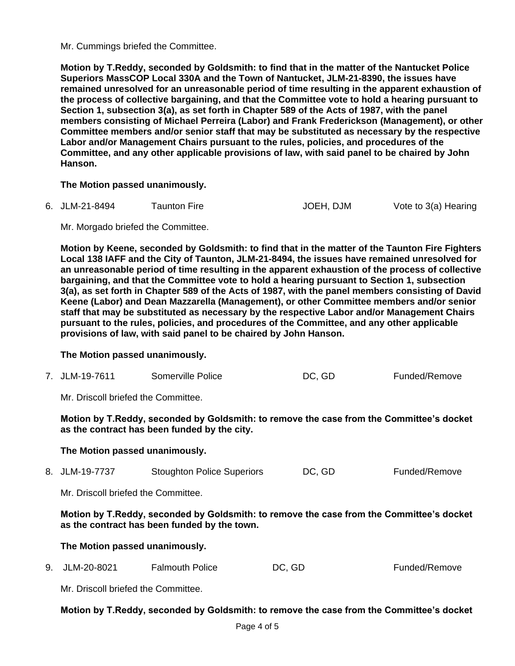Mr. Cummings briefed the Committee.

**Motion by T.Reddy, seconded by Goldsmith: to find that in the matter of the Nantucket Police Superiors MassCOP Local 330A and the Town of Nantucket, JLM-21-8390, the issues have remained unresolved for an unreasonable period of time resulting in the apparent exhaustion of the process of collective bargaining, and that the Committee vote to hold a hearing pursuant to Section 1, subsection 3(a), as set forth in Chapter 589 of the Acts of 1987, with the panel members consisting of Michael Perreira (Labor) and Frank Frederickson (Management), or other Committee members and/or senior staff that may be substituted as necessary by the respective Labor and/or Management Chairs pursuant to the rules, policies, and procedures of the Committee, and any other applicable provisions of law, with said panel to be chaired by John Hanson.**

**The Motion passed unanimously.**

6. JLM-21-8494 Taunton Fire **JOEH, DJM** Vote to 3(a) Hearing

Mr. Morgado briefed the Committee.

**Motion by Keene, seconded by Goldsmith: to find that in the matter of the Taunton Fire Fighters Local 138 IAFF and the City of Taunton, JLM-21-8494, the issues have remained unresolved for an unreasonable period of time resulting in the apparent exhaustion of the process of collective bargaining, and that the Committee vote to hold a hearing pursuant to Section 1, subsection 3(a), as set forth in Chapter 589 of the Acts of 1987, with the panel members consisting of David Keene (Labor) and Dean Mazzarella (Management), or other Committee members and/or senior staff that may be substituted as necessary by the respective Labor and/or Management Chairs pursuant to the rules, policies, and procedures of the Committee, and any other applicable provisions of law, with said panel to be chaired by John Hanson.**

**The Motion passed unanimously.**

| 7. JLM-19-7611 | Somerville Police | DC, GD | Funded/Remove |
|----------------|-------------------|--------|---------------|
|----------------|-------------------|--------|---------------|

Mr. Driscoll briefed the Committee.

**Motion by T.Reddy, seconded by Goldsmith: to remove the case from the Committee's docket as the contract has been funded by the city.**

## **The Motion passed unanimously.**

8. JLM-19-7737 Stoughton Police Superiors DC, GD Funded/Remove

Mr. Driscoll briefed the Committee.

**Motion by T.Reddy, seconded by Goldsmith: to remove the case from the Committee's docket as the contract has been funded by the town.**

## **The Motion passed unanimously.**

9. JLM-20-8021 Falmouth Police DC, GD Funded/Remove

Mr. Driscoll briefed the Committee.

## **Motion by T.Reddy, seconded by Goldsmith: to remove the case from the Committee's docket**